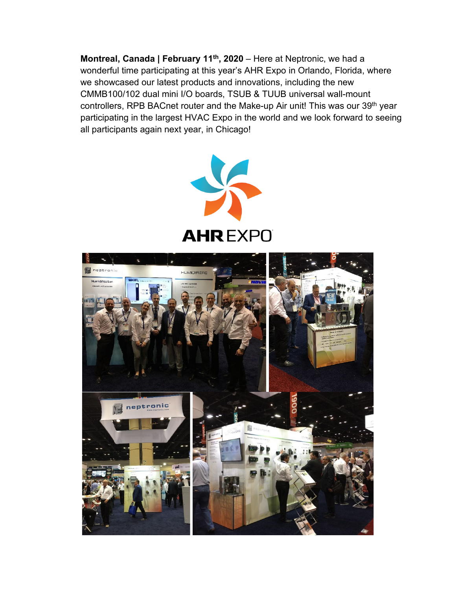**Montreal, Canada | February 11<sup>th</sup>, 2020** – Here at Neptronic, we had a wonderful time participating at this year's AHR Expo in Orlando, Florida, where we showcased our latest products and innovations, including the new CMMB100/102 dual mini I/O boards, TSUB & TUUB universal wall-mount controllers, RPB BACnet router and the Make-up Air unit! This was our 39<sup>th</sup> year participating in the largest HVAC Expo in the world and we look forward to seeing all participants again next year, in Chicago!